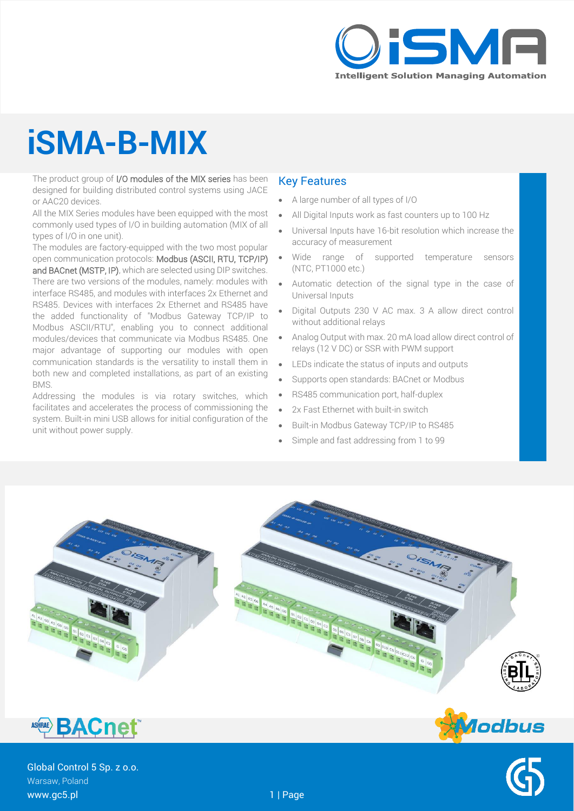

# **iSMA-B-MIX**

The product group of I/O modules of the MIX series has been designed for building distributed control systems using JACE or AAC20 devices.

All the MIX Series modules have been equipped with the most commonly used types of I/O in building automation (MIX of all types of I/O in one unit).

The modules are factory-equipped with the two most popular open communication protocols: Modbus (ASCII, RTU, TCP/IP) and BACnet (MSTP, IP), which are selected using DIP switches. There are two versions of the modules, namely: modules with

interface RS485, and modules with interfaces 2x Ethernet and RS485. Devices with interfaces 2x Ethernet and RS485 have the added functionality of "Modbus Gateway TCP/IP to Modbus ASCII/RTU", enabling you to connect additional modules/devices that communicate via Modbus RS485. One major advantage of supporting our modules with open communication standards is the versatility to install them in both new and completed installations, as part of an existing BMS.

Addressing the modules is via rotary switches, which facilitates and accelerates the process of commissioning the system. Built-in mini USB allows for initial configuration of the unit without power supply.

#### Key Features

- A large number of all types of I/O
- All Digital Inputs work as fast counters up to 100 Hz
- Universal Inputs have 16-bit resolution which increase the accuracy of measurement
- Wide range of supported temperature sensors (NTC, PT1000 etc.)
- Automatic detection of the signal type in the case of Universal Inputs
- Digital Outputs 230 V AC max. 3 A allow direct control without additional relays
- Analog Output with max. 20 mA load allow direct control of relays (12 V DC) or SSR with PWM support
- LEDs indicate the status of inputs and outputs
- Supports open standards: BACnet or Modbus
- RS485 communication port, half-duplex
- 2x Fast Ethernet with built-in switch
- Built-in Modbus Gateway TCP/IP to RS485
- Simple and fast addressing from 1 to 99





Global Control 5 Sp. z o.o. Warsaw, Poland www.gc5.pl 1 | Page